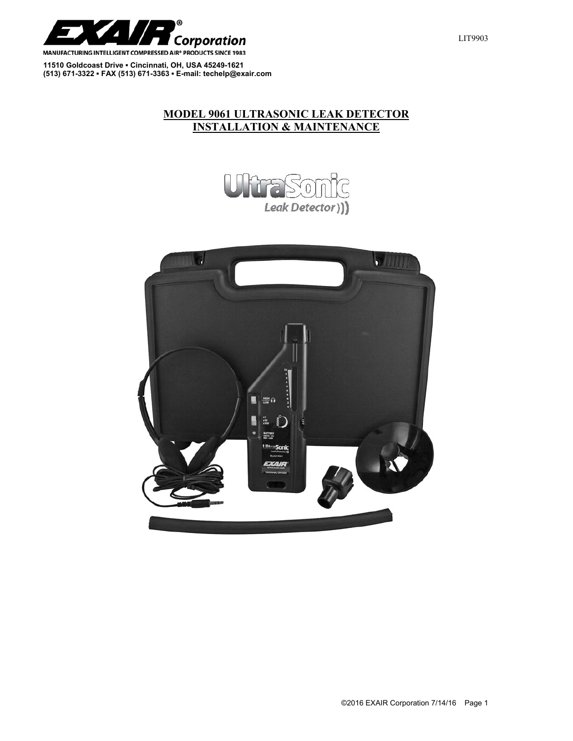

**11510 Goldcoast Drive ▪ Cincinnati, OH, USA 45249-1621 (513) 671-3322 ▪ FAX (513) 671-3363 ▪ E-mail: techelp@exair.com** 

## **MODEL 9061 ULTRASONIC LEAK DETECTOR INSTALLATION & MAINTENANCE**



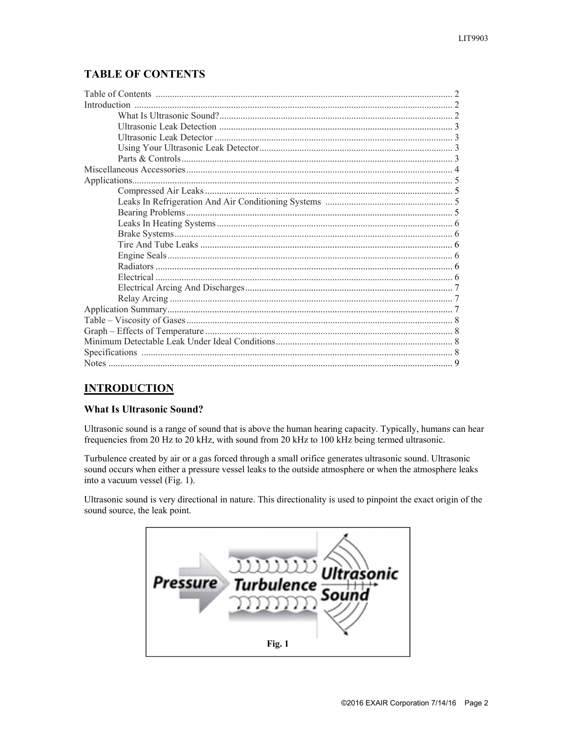## **TABLE OF CONTENTS**

## **INTRODUCTION**

## **What Is Ultrasonic Sound?**

Ultrasonic sound is a range of sound that is above the human hearing capacity. Typically, humans can hear frequencies from 20 Hz to 20 kHz, with sound from 20 kHz to 100 kHz being termed ultrasonic.

Turbulence created by air or a gas forced through a small orifice generates ultrasonic sound. Ultrasonic sound occurs when either a pressure vessel leaks to the outside atmosphere or when the atmosphere leaks into a vacuum vessel (Fig. 1).

Ultrasonic sound is very directional in nature. This directionality is used to pinpoint the exact origin of the sound source, the leak point.

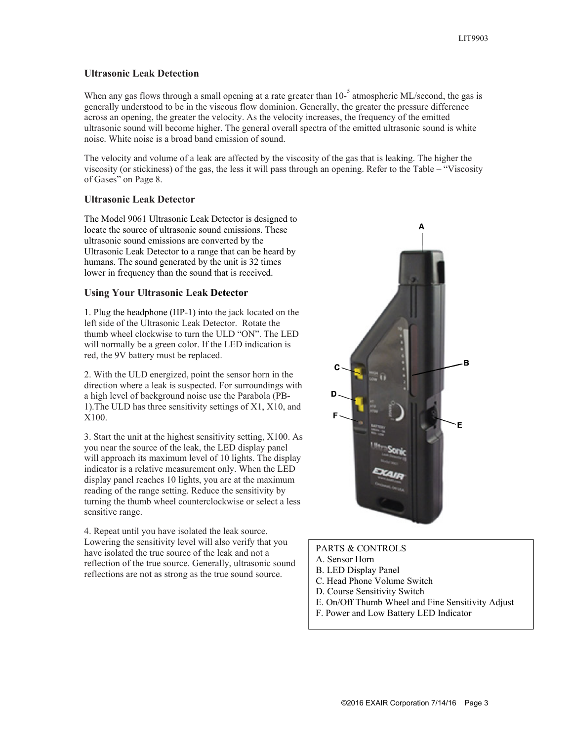#### **Ultrasonic Leak Detection**

When any gas flows through a small opening at a rate greater than  $10^{-5}$  atmospheric ML/second, the gas is generally understood to be in the viscous flow dominion. Generally, the greater the pressure difference across an opening, the greater the velocity. As the velocity increases, the frequency of the emitted ultrasonic sound will become higher. The general overall spectra of the emitted ultrasonic sound is white noise. White noise is a broad band emission of sound.

The velocity and volume of a leak are affected by the viscosity of the gas that is leaking. The higher the viscosity (or stickiness) of the gas, the less it will pass through an opening. Refer to the Table – "Viscosity of Gases" on Page 8.

#### **Ultrasonic Leak Detector**

The Model 9061 Ultrasonic Leak Detector is designed to locate the source of ultrasonic sound emissions. These ultrasonic sound emissions are converted by the Ultrasonic Leak Detector to a range that can be heard by humans. The sound generated by the unit is 32 times lower in frequency than the sound that is received.

#### **Using Your Ultrasonic Leak Detector**

1. Plug the headphone (HP-1) into the jack located on the left side of the Ultrasonic Leak Detector. Rotate the thumb wheel clockwise to turn the ULD "ON". The LED will normally be a green color. If the LED indication is red, the 9V battery must be replaced.

2. With the ULD energized, point the sensor horn in the direction where a leak is suspected. For surroundings with a high level of background noise use the Parabola (PB-1).The ULD has three sensitivity settings of X1, X10, and X100.

3. Start the unit at the highest sensitivity setting, X100. As you near the source of the leak, the LED display panel will approach its maximum level of 10 lights. The display indicator is a relative measurement only. When the LED display panel reaches 10 lights, you are at the maximum reading of the range setting. Reduce the sensitivity by turning the thumb wheel counterclockwise or select a less sensitive range.

4. Repeat until you have isolated the leak source. Lowering the sensitivity level will also verify that you have isolated the true source of the leak and not a reflection of the true source. Generally, ultrasonic sound reflections are not as strong as the true sound source.



#### PARTS & CONTROLS

- A. Sensor Horn
- B. LED Display Panel
- C. Head Phone Volume Switch
- D. Course Sensitivity Switch
- E. On/Off Thumb Wheel and Fine Sensitivity Adjust
- F. Power and Low Battery LED Indicator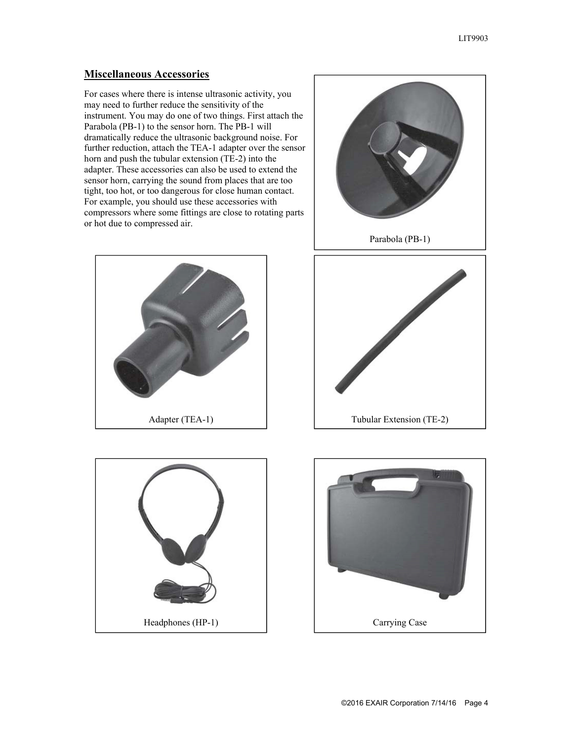## **Miscellaneous Accessories**

For cases where there is intense ultrasonic activity, you may need to further reduce the sensitivity of the instrument. You may do one of two things. First attach the Parabola (PB-1) to the sensor horn. The PB-1 will dramatically reduce the ultrasonic background noise. For further reduction, attach the TEA-1 adapter over the sensor horn and push the tubular extension (TE-2) into the adapter. These accessories can also be used to extend the sensor horn, carrying the sound from places that are too tight, too hot, or too dangerous for close human contact. For example, you should use these accessories with compressors where some fittings are close to rotating parts or hot due to compressed air.







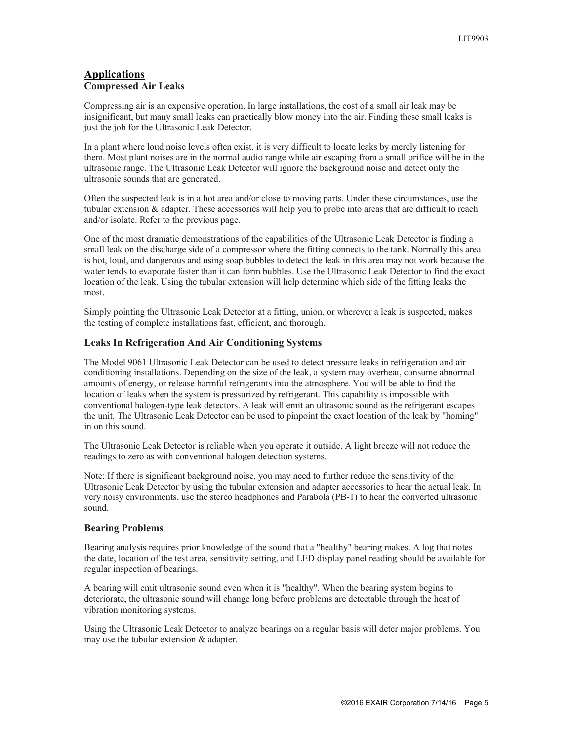#### **Applications Compressed Air Leaks**

Compressing air is an expensive operation. In large installations, the cost of a small air leak may be insignificant, but many small leaks can practically blow money into the air. Finding these small leaks is just the job for the Ultrasonic Leak Detector.

In a plant where loud noise levels often exist, it is very difficult to locate leaks by merely listening for them. Most plant noises are in the normal audio range while air escaping from a small orifice will be in the ultrasonic range. The Ultrasonic Leak Detector will ignore the background noise and detect only the ultrasonic sounds that are generated.

Often the suspected leak is in a hot area and/or close to moving parts. Under these circumstances, use the tubular extension & adapter. These accessories will help you to probe into areas that are difficult to reach and/or isolate. Refer to the previous page.

One of the most dramatic demonstrations of the capabilities of the Ultrasonic Leak Detector is finding a small leak on the discharge side of a compressor where the fitting connects to the tank. Normally this area is hot, loud, and dangerous and using soap bubbles to detect the leak in this area may not work because the water tends to evaporate faster than it can form bubbles. Use the Ultrasonic Leak Detector to find the exact location of the leak. Using the tubular extension will help determine which side of the fitting leaks the most.

Simply pointing the Ultrasonic Leak Detector at a fitting, union, or wherever a leak is suspected, makes the testing of complete installations fast, efficient, and thorough.

### **Leaks In Refrigeration And Air Conditioning Systems**

The Model 9061 Ultrasonic Leak Detector can be used to detect pressure leaks in refrigeration and air conditioning installations. Depending on the size of the leak, a system may overheat, consume abnormal amounts of energy, or release harmful refrigerants into the atmosphere. You will be able to find the location of leaks when the system is pressurized by refrigerant. This capability is impossible with conventional halogen-type leak detectors. A leak will emit an ultrasonic sound as the refrigerant escapes the unit. The Ultrasonic Leak Detector can be used to pinpoint the exact location of the leak by "homing" in on this sound.

The Ultrasonic Leak Detector is reliable when you operate it outside. A light breeze will not reduce the readings to zero as with conventional halogen detection systems.

Note: If there is significant background noise, you may need to further reduce the sensitivity of the Ultrasonic Leak Detector by using the tubular extension and adapter accessories to hear the actual leak. In very noisy environments, use the stereo headphones and Parabola (PB-1) to hear the converted ultrasonic sound.

#### **Bearing Problems**

Bearing analysis requires prior knowledge of the sound that a "healthy" bearing makes. A log that notes the date, location of the test area, sensitivity setting, and LED display panel reading should be available for regular inspection of bearings.

A bearing will emit ultrasonic sound even when it is "healthy". When the bearing system begins to deteriorate, the ultrasonic sound will change long before problems are detectable through the heat of vibration monitoring systems.

Using the Ultrasonic Leak Detector to analyze bearings on a regular basis will deter major problems. You may use the tubular extension & adapter.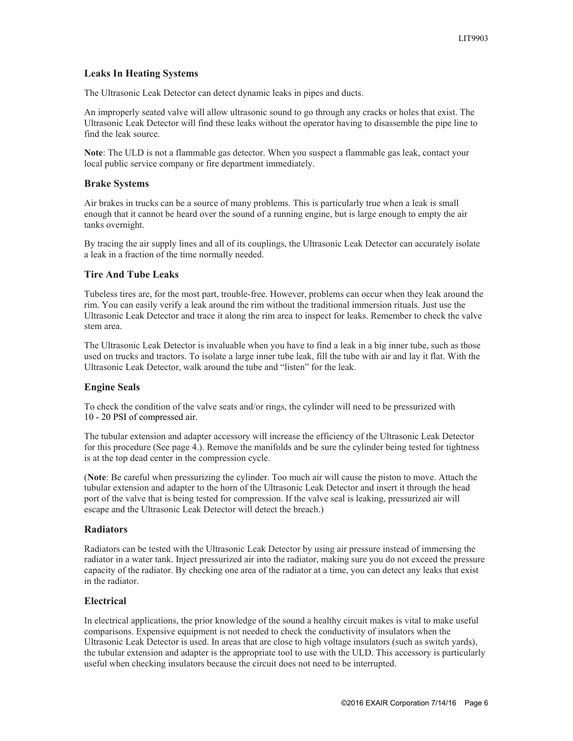#### **Leaks In Heating Systems**

The Ultrasonic Leak Detector can detect dynamic leaks in pipes and ducts.

An improperly seated valve will allow ultrasonic sound to go through any cracks or holes that exist. The Ultrasonic Leak Detector will find these leaks without the operator having to disassemble the pipe line to find the leak source.

**Note**: The ULD is not a flammable gas detector. When you suspect a flammable gas leak, contact your local public service company or fire department immediately.

#### **Brake Systems**

Air brakes in trucks can be a source of many problems. This is particularly true when a leak is small enough that it cannot be heard over the sound of a running engine, but is large enough to empty the air tanks overnight.

By tracing the air supply lines and all of its couplings, the Ultrasonic Leak Detector can accurately isolate a leak in a fraction of the time normally needed.

#### **Tire And Tube Leaks**

Tubeless tires are, for the most part, trouble-free. However, problems can occur when they leak around the rim. You can easily verify a leak around the rim without the traditional immersion rituals. Just use the Ultrasonic Leak Detector and trace it along the rim area to inspect for leaks. Remember to check the valve stem area.

The Ultrasonic Leak Detector is invaluable when you have to find a leak in a big inner tube, such as those used on trucks and tractors. To isolate a large inner tube leak, fill the tube with air and lay it flat. With the Ultrasonic Leak Detector, walk around the tube and "listen" for the leak.

#### **Engine Seals**

To check the condition of the valve seats and/or rings, the cylinder will need to be pressurized with 10 - 20 PSI of compressed air.

The tubular extension and adapter accessory will increase the efficiency of the Ultrasonic Leak Detector for this procedure (See page 4.). Remove the manifolds and be sure the cylinder being tested for tightness is at the top dead center in the compression cycle.

(**Note**: Be careful when pressurizing the cylinder. Too much air will cause the piston to move. Attach the tubular extension and adapter to the horn of the Ultrasonic Leak Detector and insert it through the head port of the valve that is being tested for compression. If the valve seal is leaking, pressurized air will escape and the Ultrasonic Leak Detector will detect the breach.)

#### **Radiators**

Radiators can be tested with the Ultrasonic Leak Detector by using air pressure instead of immersing the radiator in a water tank. Inject pressurized air into the radiator, making sure you do not exceed the pressure capacity of the radiator. By checking one area of the radiator at a time, you can detect any leaks that exist in the radiator.

#### **Electrical**

In electrical applications, the prior knowledge of the sound a healthy circuit makes is vital to make useful comparisons. Expensive equipment is not needed to check the conductivity of insulators when the Ultrasonic Leak Detector is used. In areas that are close to high voltage insulators (such as switch yards), the tubular extension and adapter is the appropriate tool to use with the ULD. This accessory is particularly useful when checking insulators because the circuit does not need to be interrupted.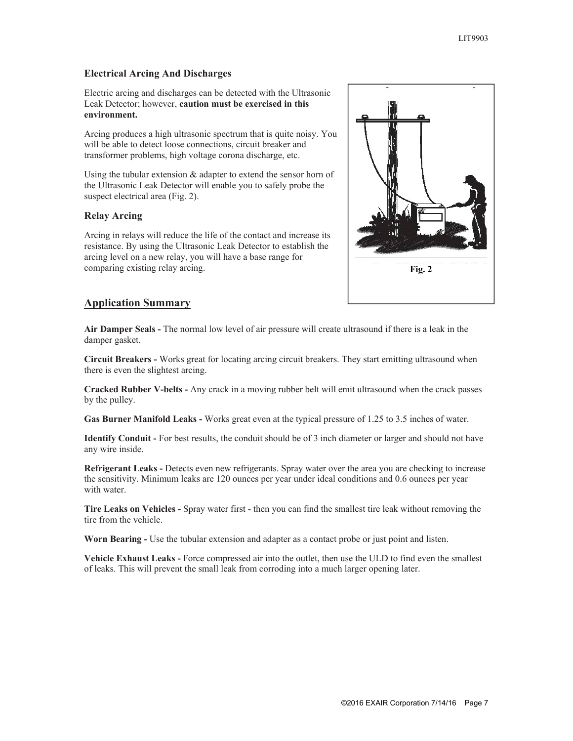#### **Electrical Arcing And Discharges**

Electric arcing and discharges can be detected with the Ultrasonic Leak Detector; however, **caution must be exercised in this environment.**

Arcing produces a high ultrasonic spectrum that is quite noisy. You will be able to detect loose connections, circuit breaker and transformer problems, high voltage corona discharge, etc.

Using the tubular extension & adapter to extend the sensor horn of the Ultrasonic Leak Detector will enable you to safely probe the suspect electrical area (Fig. 2).

#### **Relay Arcing**

Arcing in relays will reduce the life of the contact and increase its resistance. By using the Ultrasonic Leak Detector to establish the arcing level on a new relay, you will have a base range for comparing existing relay arcing.



### **Application Summary**

**Air Damper Seals -** The normal low level of air pressure will create ultrasound if there is a leak in the damper gasket.

**Circuit Breakers -** Works great for locating arcing circuit breakers. They start emitting ultrasound when there is even the slightest arcing.

**Cracked Rubber V-belts -** Any crack in a moving rubber belt will emit ultrasound when the crack passes by the pulley.

**Gas Burner Manifold Leaks -** Works great even at the typical pressure of 1.25 to 3.5 inches of water.

**Identify Conduit -** For best results, the conduit should be of 3 inch diameter or larger and should not have any wire inside.

**Refrigerant Leaks -** Detects even new refrigerants. Spray water over the area you are checking to increase the sensitivity. Minimum leaks are 120 ounces per year under ideal conditions and 0.6 ounces per year with water.

**Tire Leaks on Vehicles -** Spray water first - then you can find the smallest tire leak without removing the tire from the vehicle.

**Worn Bearing -** Use the tubular extension and adapter as a contact probe or just point and listen.

**Vehicle Exhaust Leaks -** Force compressed air into the outlet, then use the ULD to find even the smallest of leaks. This will prevent the small leak from corroding into a much larger opening later.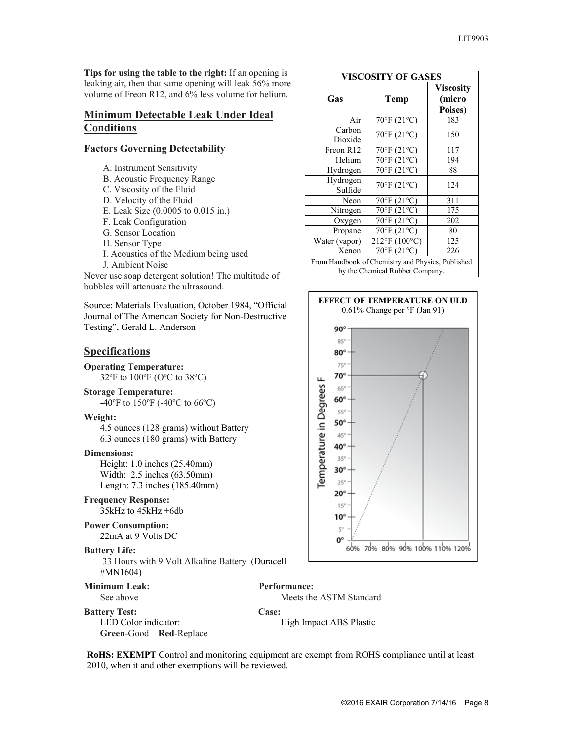**Tips for using the table to the right:** If an opening is leaking air, then that same opening will leak 56% more volume of Freon R12, and 6% less volume for helium.

#### **Minimum Detectable Leak Under Ideal Conditions**

#### **Factors Governing Detectability**

- A. Instrument Sensitivity
- B. Acoustic Frequency Range
- C. Viscosity of the Fluid
- D. Velocity of the Fluid
- E. Leak Size (0.0005 to 0.015 in.)
- F. Leak Configuration
- G. Sensor Location
- H. Sensor Type
- I. Acoustics of the Medium being used
- J. Ambient Noise Never use soap detergent solution! The multitude of
- bubbles will attenuate the ultrasound.

Source: Materials Evaluation, October 1984, "Official Journal of The American Society for Non-Destructive Testing", Gerald L. Anderson

## **Specifications**

**Operating Temperature:** 32ºF to 100ºF (OºC to 38ºC)

**Storage Temperature:**

-40ºF to 150ºF (-40ºC to 66ºC)

#### **Weight:**

 4.5 ounces (128 grams) without Battery 6.3 ounces (180 grams) with Battery

#### **Dimensions:**

 Height: 1.0 inches (25.40mm) Width: 2.5 inches (63.50mm) Length: 7.3 inches (185.40mm)

**Frequency Response:** 35kHz to 45kHz +6db

#### **Power Consumption:** 22mA at 9 Volts DC

**Green**-Good **Red**-Replace

# **Battery Life:**

 33 Hours with 9 Volt Alkaline Battery (Duracell #MN1604)

**Minimum Leak:** Performance:

See above Meets the ASTM Standard

**Battery Test: Case:**

LED Color indicator: High Impact ABS Plastic

**RoHS: EXEMPT** Control and monitoring equipment are exempt from ROHS compliance until at least 2010, when it and other exemptions will be reviewed.

| <b>VISCOSITY OF GASES</b>                         |                                  |                                       |  |
|---------------------------------------------------|----------------------------------|---------------------------------------|--|
| Gas                                               | <b>Temp</b>                      | <b>Viscosity</b><br>(micro<br>Poises) |  |
| Air                                               | $70^{\circ}$ F (21°C)            | 183                                   |  |
| Carbon<br>Dioxide                                 | 70°F (21°C)                      | 150                                   |  |
| Freon R12                                         | 70°F (21°C)                      | 117                                   |  |
| Helium                                            | $\overline{70^{\circ}F}$ (21°C)  | 194                                   |  |
| Hydrogen                                          | $70^{\circ}$ F (21 $^{\circ}$ C) | 88                                    |  |
| Hydrogen<br>Sulfide                               | 70°F (21°C)                      | 124                                   |  |
| Neon                                              | $70^{\circ}$ F (21°C)            | 311                                   |  |
| Nitrogen                                          | $70^{\circ}$ F (21°C)            | 175                                   |  |
| Oxygen                                            | $70^{\circ}$ F (21°C)            | 202                                   |  |
| Propane                                           | $70^{\circ}$ F (21°C)            | 80                                    |  |
| Water (vapor)                                     | 212°F (100°C)                    | 125                                   |  |
| Xenon                                             | $70^{\circ}$ F (21 $^{\circ}$ C) | 226                                   |  |
| From Handbook of Chemistry and Physics, Published |                                  |                                       |  |

by the Chemical Rubber Company.